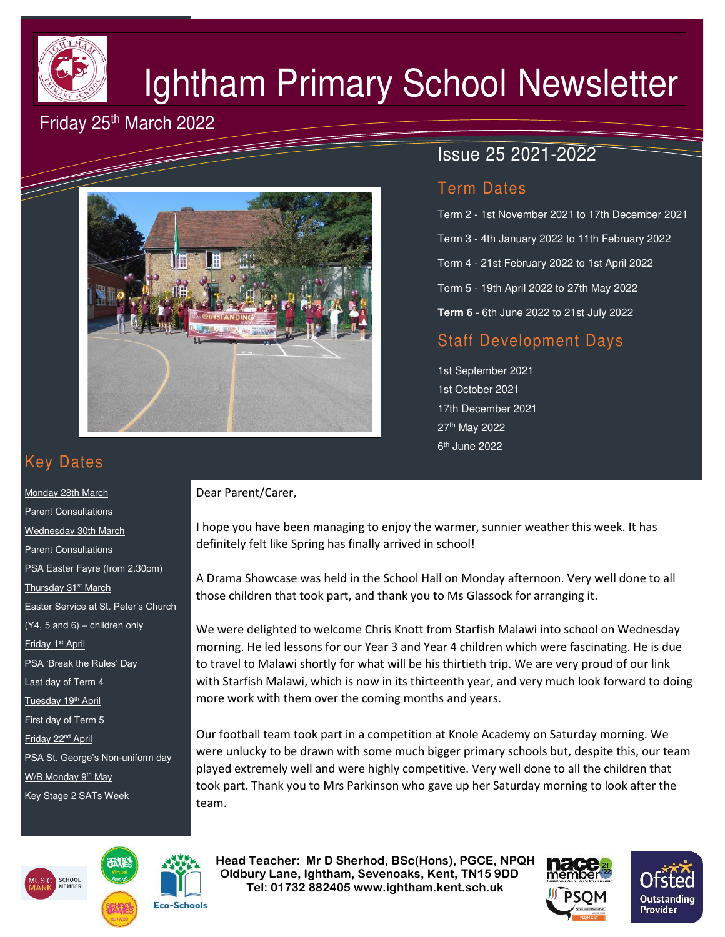

# Ightham Primary School Newsletter

## Friday 25<sup>th</sup> March 2022



Dear Parent/Carer,

# Issue 25 2021-2022

#### Term Dates

Term 2 - 1st November 2021 to 17th December 2021 Term 3 - 4th January 2022 to 11th February 2022 Term 4 - 21st February 2022 to 1st April 2022 Term 5 - 19th April 2022 to 27th May 2022 **Term 6** - 6th June 2022 to 21st July 2022

## Staff Development Days

1st September 2021 1st October 2021 17th December 2021 27th May 2022 6<sup>th</sup> June 2022

I hope you have been managing to enjoy the warmer, sunnier weather this week. It has

A Drama Showcase was held in the School Hall on Monday afternoon. Very well done to all

We were delighted to welcome Chris Knott from Starfish Malawi into school on Wednesday morning. He led lessons for our Year 3 and Year 4 children which were fascinating. He is due to travel to Malawi shortly for what will be his thirtieth trip. We are very proud of our link with Starfish Malawi, which is now in its thirteenth year, and very much look forward to doing

Our football team took part in a competition at Knole Academy on Saturday morning. We were unlucky to be drawn with some much bigger primary schools but, despite this, our team played extremely well and were highly competitive. Very well done to all the children that took part. Thank you to Mrs Parkinson who gave up her Saturday morning to look after the

those children that took part, and thank you to Ms Glassock for arranging it.

definitely felt like Spring has finally arrived in school!

more work with them over the coming months and years.

# Key Dates

Monday 28th March Parent Consultations Wednesday 30th March Parent Consultations PSA Easter Fayre (from 2.30pm) Thursday 31<sup>st</sup> March Easter Service at St. Peter's Church  $(Y4, 5 and 6)$  – children only Friday 1st April PSA 'Break the Rules' Day Last day of Term 4 Tuesday 19<sup>th</sup> April First day of Term 5 Friday 22<sup>nd</sup> April PSA St. George's Non-uniform day W/B Monday 9<sup>th</sup> May Key Stage 2 SATs Week





team.

 **Head Teacher: Mr D Sherhod, BSc(Hons), PGCE, NPQH Oldbury Lane, Ightham, Sevenoaks, Kent, TN15 9DD** EXERIGING THE **TELE: 01732 882405 www.ightham.kent.sch.uk**<br>Tel: 01732 882405 www.ightham.kent.sch.uk



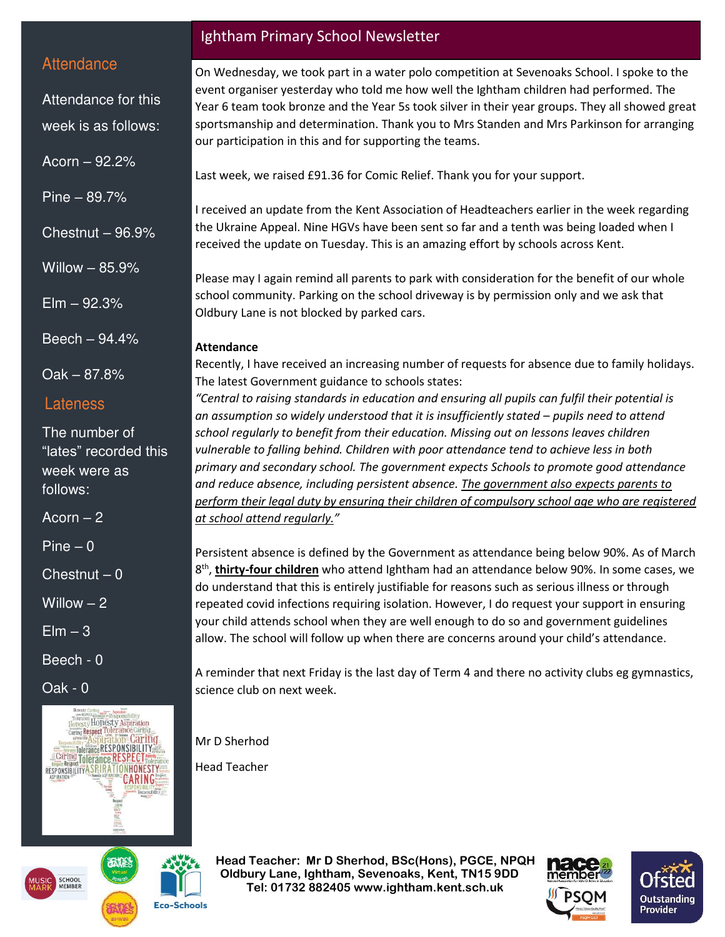#### **Attendance**

Attendance for this week is as follows:

Acorn – 92.2%

Pine – 89.7%

Chestnut – 96.9%

Willow – 85.9%

 $E$ lm  $-92.3%$ 

Beech – 94.4%

Oak – 87.8%

#### Lateness

The number of "lates" recorded this week were as follows:

Acorn  $-2$ 

Pine – 0

 $Chestnut - 0$ 

Willow – 2

 $Elm - 3$ 

Beech - 0

Oak - 0



## Ightham Primary School Newsletter

On Wednesday, we took part in a water polo competition at Sevenoaks School. I spoke to the event organiser yesterday who told me how well the Ightham children had performed. The Year 6 team took bronze and the Year 5s took silver in their year groups. They all showed great sportsmanship and determination. Thank you to Mrs Standen and Mrs Parkinson for arranging our participation in this and for supporting the teams.

Last week, we raised £91.36 for Comic Relief. Thank you for your support.

I received an update from the Kent Association of Headteachers earlier in the week regarding the Ukraine Appeal. Nine HGVs have been sent so far and a tenth was being loaded when I received the update on Tuesday. This is an amazing effort by schools across Kent.

Please may I again remind all parents to park with consideration for the benefit of our whole school community. Parking on the school driveway is by permission only and we ask that Oldbury Lane is not blocked by parked cars.

#### **Attendance**

Recently, I have received an increasing number of requests for absence due to family holidays. The latest Government guidance to schools states:

*"Central to raising standards in education and ensuring all pupils can fulfil their potential is an assumption so widely understood that it is insufficiently stated – pupils need to attend school regularly to benefit from their education. Missing out on lessons leaves children vulnerable to falling behind. Children with poor attendance tend to achieve less in both primary and secondary school. The government expects Schools to promote good attendance and reduce absence, including persistent absence. The government also expects parents to perform their legal duty by ensuring their children of compulsory school age who are registered at school attend regularly."*

Persistent absence is defined by the Government as attendance being below 90%. As of March 8 th , **thirty-four children** who attend Ightham had an attendance below 90%. In some cases, we do understand that this is entirely justifiable for reasons such as serious illness or through repeated covid infections requiring isolation. However, I do request your support in ensuring your child attends school when they are well enough to do so and government guidelines allow. The school will follow up when there are concerns around your child's attendance.

A reminder that next Friday is the last day of Term 4 and there no activity clubs eg gymnastics, science club on next week.

Mr D Sherhod

Head Teacher

 **Head Teacher: Mr D Sherhod, BSc(Hons), PGCE, NPQH Oldbury Lane, Ightham, Sevenoaks, Kent, TN15 9DD Tel: 01732 882405 www.ightham.kent.sch.uk** 





**Eco-Schools**